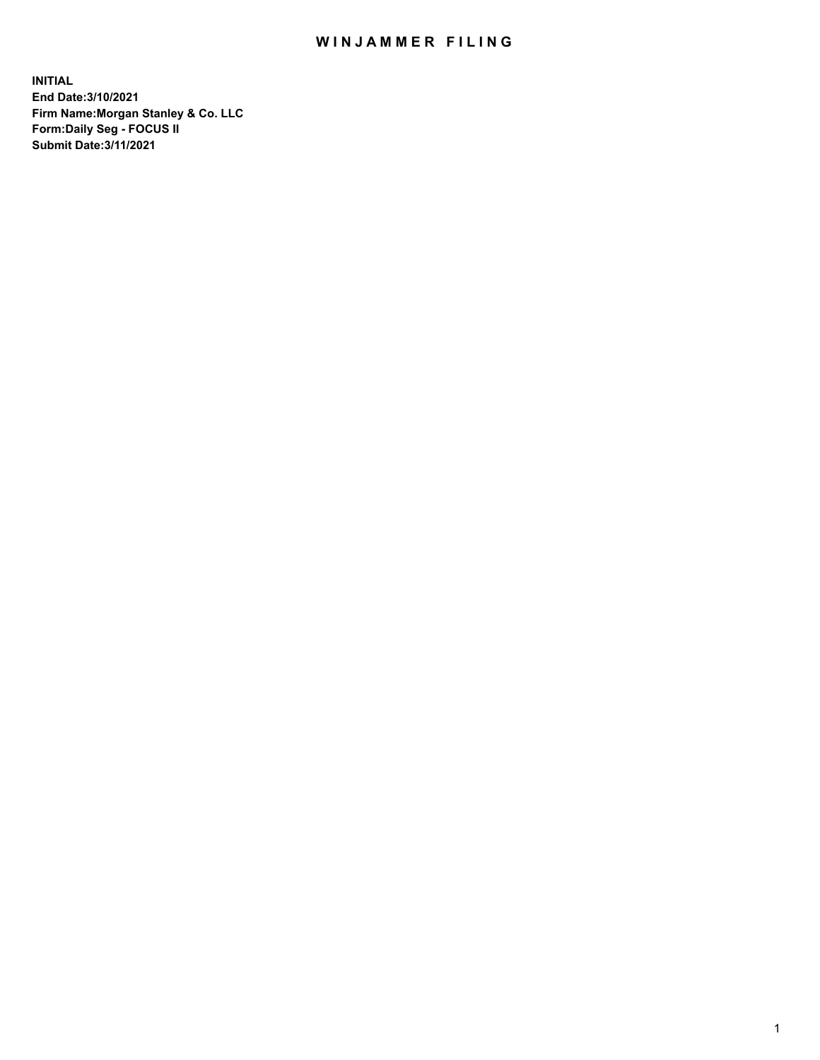## WIN JAMMER FILING

**INITIAL End Date:3/10/2021 Firm Name:Morgan Stanley & Co. LLC Form:Daily Seg - FOCUS II Submit Date:3/11/2021**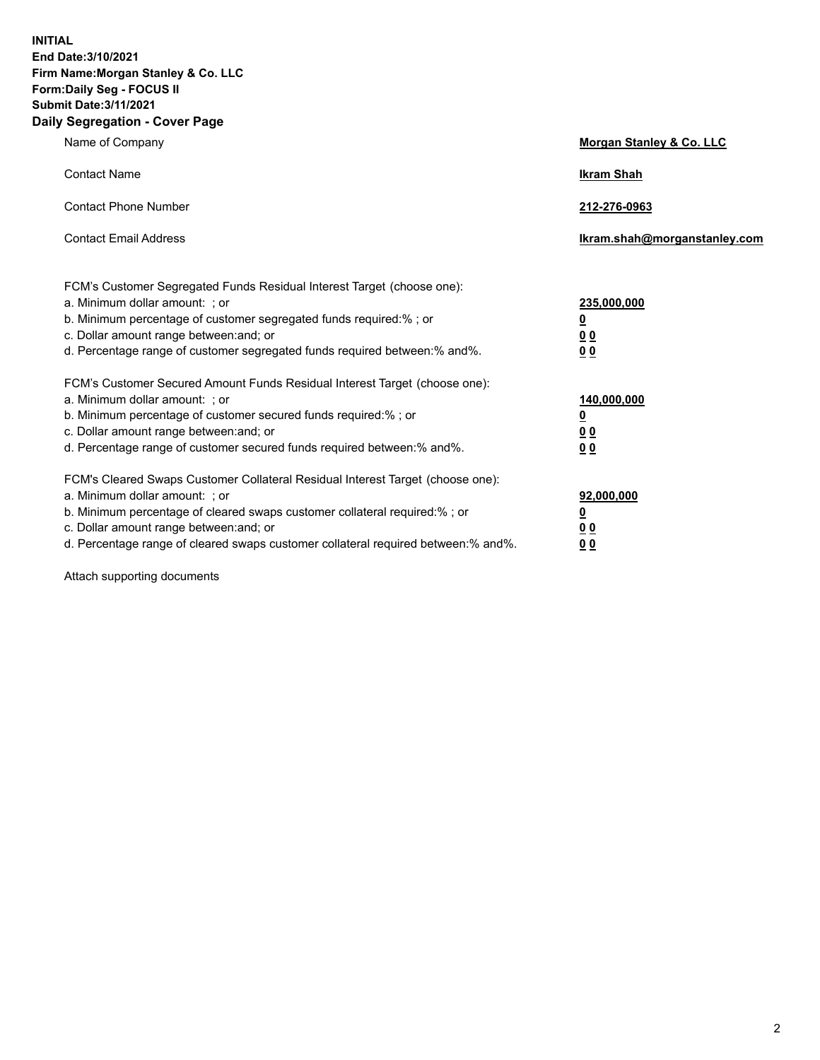**INITIAL End Date:3/10/2021 Firm Name:Morgan Stanley & Co. LLC Form:Daily Seg - FOCUS II Submit Date:3/11/2021 Daily Segregation - Cover Page**

| Name of Company                                                                                                                                                                                                                                                                                                                | <b>Morgan Stanley &amp; Co. LLC</b>                    |
|--------------------------------------------------------------------------------------------------------------------------------------------------------------------------------------------------------------------------------------------------------------------------------------------------------------------------------|--------------------------------------------------------|
| <b>Contact Name</b>                                                                                                                                                                                                                                                                                                            | <b>Ikram Shah</b>                                      |
| <b>Contact Phone Number</b>                                                                                                                                                                                                                                                                                                    | 212-276-0963                                           |
| <b>Contact Email Address</b>                                                                                                                                                                                                                                                                                                   | Ikram.shah@morganstanley.com                           |
| FCM's Customer Segregated Funds Residual Interest Target (choose one):<br>a. Minimum dollar amount: ; or<br>b. Minimum percentage of customer segregated funds required:% ; or<br>c. Dollar amount range between: and; or<br>d. Percentage range of customer segregated funds required between:% and%.                         | 235,000,000<br><u>0</u><br>0 Q<br>0 Q                  |
| FCM's Customer Secured Amount Funds Residual Interest Target (choose one):<br>a. Minimum dollar amount: ; or<br>b. Minimum percentage of customer secured funds required:% ; or<br>c. Dollar amount range between: and; or<br>d. Percentage range of customer secured funds required between: % and %.                         | 140,000,000<br><u>0</u><br><u>00</u><br>0 <sub>0</sub> |
| FCM's Cleared Swaps Customer Collateral Residual Interest Target (choose one):<br>a. Minimum dollar amount: ; or<br>b. Minimum percentage of cleared swaps customer collateral required:% ; or<br>c. Dollar amount range between: and; or<br>d. Percentage range of cleared swaps customer collateral required between:% and%. | 92,000,000<br><u>0</u><br>0 Q<br>00                    |

Attach supporting documents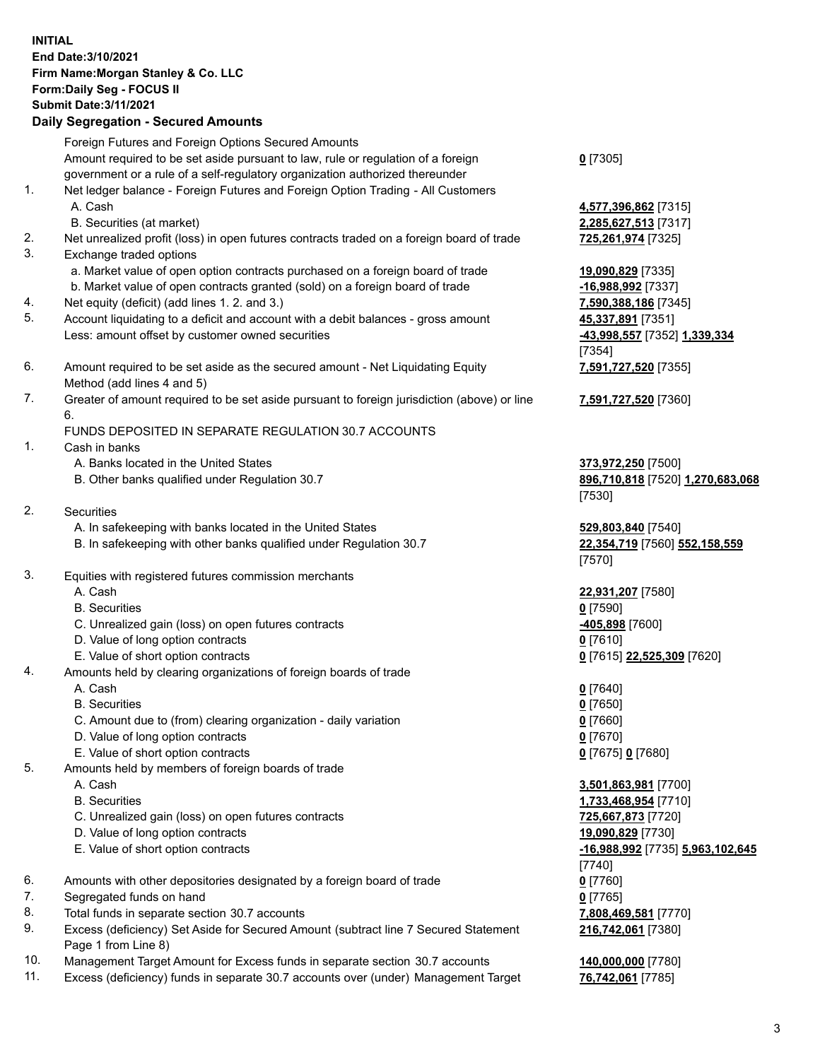## **INITIAL End Date:3/10/2021 Firm Name:Morgan Stanley & Co. LLC Form:Daily Seg - FOCUS II Submit Date:3/11/2021**

**Daily Segregation - Secured Amounts** Foreign Futures and Foreign Options Secured Amounts Amount required to be set aside pursuant to law, rule or regulation of a foreign government or a rule of a self-regulatory organization authorized thereunder 1. Net ledger balance - Foreign Futures and Foreign Option Trading - All Customers A. Cash **4,577,396,862** [7315] B. Securities (at market) **2,285,627,513** [7317] 2. Net unrealized profit (loss) in open futures contracts traded on a foreign board of trade **725,261,974** [7325] 3. Exchange traded options a. Market value of open option contracts purchased on a foreign board of trade **19,090,829** [7335] b. Market value of open contracts granted (sold) on a foreign board of trade **-16,988,992** [7337] 4. Net equity (deficit) (add lines 1. 2. and 3.) **7,590,388,186** [7345] 5. Account liquidating to a deficit and account with a debit balances - gross amount **45,337,891** [7351] Less: amount offset by customer owned securities **-43,998,557** [7352] **1,339,334** 6. Amount required to be set aside as the secured amount - Net Liquidating Equity Method (add lines 4 and 5) 7. Greater of amount required to be set aside pursuant to foreign jurisdiction (above) or line 6. FUNDS DEPOSITED IN SEPARATE REGULATION 30.7 ACCOUNTS 1. Cash in banks A. Banks located in the United States **373,972,250** [7500] B. Other banks qualified under Regulation 30.7 **896,710,818** [7520] **1,270,683,068** 2. Securities A. In safekeeping with banks located in the United States **529,803,840** [7540] B. In safekeeping with other banks qualified under Regulation 30.7 **22,354,719** [7560] **552,158,559** 3. Equities with registered futures commission merchants A. Cash **22,931,207** [7580] B. Securities **0** [7590] C. Unrealized gain (loss) on open futures contracts **-405,898** [7600] D. Value of long option contracts **0** [7610] E. Value of short option contracts **0** [7615] **22,525,309** [7620] 4. Amounts held by clearing organizations of foreign boards of trade A. Cash **0** [7640] B. Securities **0** [7650] C. Amount due to (from) clearing organization - daily variation **0** [7660] D. Value of long option contracts **0** [7670] E. Value of short option contracts **0** [7675] **0** [7680] 5. Amounts held by members of foreign boards of trade A. Cash **3,501,863,981** [7700]

- 
- 
- C. Unrealized gain (loss) on open futures contracts **725,667,873** [7720]
- D. Value of long option contracts **19,090,829** [7730]
- 
- 6. Amounts with other depositories designated by a foreign board of trade **0** [7760]
- 7. Segregated funds on hand **0** [7765]
- 8. Total funds in separate section 30.7 accounts **7,808,469,581** [7770]
- 9. Excess (deficiency) Set Aside for Secured Amount (subtract line 7 Secured Statement Page 1 from Line 8)
- 10. Management Target Amount for Excess funds in separate section 30.7 accounts **140,000,000** [7780]
- 11. Excess (deficiency) funds in separate 30.7 accounts over (under) Management Target **76,742,061** [7785]

**0** [7305]

[7354] **7,591,727,520** [7355]

**7,591,727,520** [7360]

[7530]

[7570]

 B. Securities **1,733,468,954** [7710] E. Value of short option contracts **-16,988,992** [7735] **5,963,102,645** [7740] **216,742,061** [7380]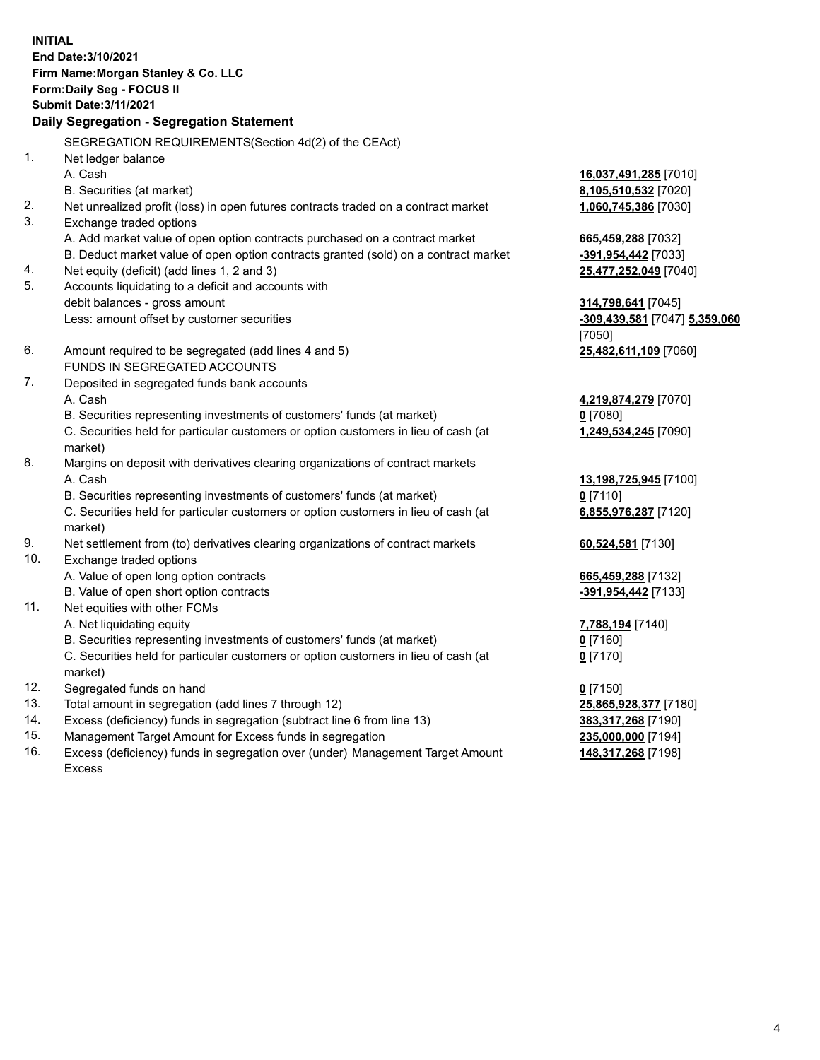**INITIAL End Date:3/10/2021 Firm Name:Morgan Stanley & Co. LLC Form:Daily Seg - FOCUS II Submit Date:3/11/2021 Daily Segregation - Segregation Statement** SEGREGATION REQUIREMENTS(Section 4d(2) of the CEAct) 1. Net ledger balance A. Cash **16,037,491,285** [7010] B. Securities (at market) **8,105,510,532** [7020] 2. Net unrealized profit (loss) in open futures contracts traded on a contract market **1,060,745,386** [7030] 3. Exchange traded options A. Add market value of open option contracts purchased on a contract market **665,459,288** [7032] B. Deduct market value of open option contracts granted (sold) on a contract market **-391,954,442** [7033] 4. Net equity (deficit) (add lines 1, 2 and 3) **25,477,252,049** [7040] 5. Accounts liquidating to a deficit and accounts with debit balances - gross amount **314,798,641** [7045] Less: amount offset by customer securities **-309,439,581** [7047] **5,359,060** [7050] 6. Amount required to be segregated (add lines 4 and 5) **25,482,611,109** [7060] FUNDS IN SEGREGATED ACCOUNTS 7. Deposited in segregated funds bank accounts A. Cash **4,219,874,279** [7070] B. Securities representing investments of customers' funds (at market) **0** [7080] C. Securities held for particular customers or option customers in lieu of cash (at market) **1,249,534,245** [7090] 8. Margins on deposit with derivatives clearing organizations of contract markets A. Cash **13,198,725,945** [7100] B. Securities representing investments of customers' funds (at market) **0** [7110] C. Securities held for particular customers or option customers in lieu of cash (at market) **6,855,976,287** [7120] 9. Net settlement from (to) derivatives clearing organizations of contract markets **60,524,581** [7130] 10. Exchange traded options A. Value of open long option contracts **665,459,288** [7132] B. Value of open short option contracts **-391,954,442** [7133] 11. Net equities with other FCMs A. Net liquidating equity **7,788,194** [7140] B. Securities representing investments of customers' funds (at market) **0** [7160] C. Securities held for particular customers or option customers in lieu of cash (at market) **0** [7170] 12. Segregated funds on hand **0** [7150] 13. Total amount in segregation (add lines 7 through 12) **25,865,928,377** [7180] 14. Excess (deficiency) funds in segregation (subtract line 6 from line 13) **383,317,268** [7190] 15. Management Target Amount for Excess funds in segregation **235,000,000** [7194]

16. Excess (deficiency) funds in segregation over (under) Management Target Amount Excess

**148,317,268** [7198]